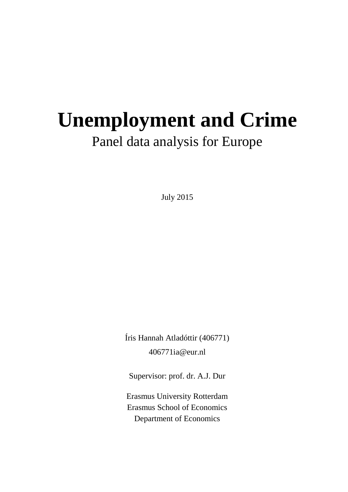# **Unemployment and Crime**  Panel data analysis for Europe

July 2015

Íris Hannah Atladóttir (406771) 406771ia@eur.nl

Supervisor: prof. dr. A.J. Dur

Erasmus University Rotterdam Erasmus School of Economics Department of Economics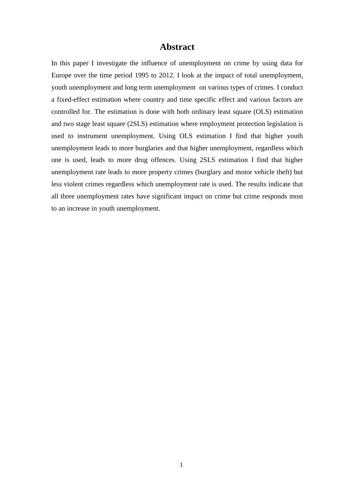#### **Abstract**

In this paper I investigate the influence of unemployment on crime by using data for Europe over the time period 1995 to 2012. I look at the impact of total unemployment, youth unemployment and long term unemployment on various types of crimes. I conduct a fixed-effect estimation where country and time specific effect and various factors are controlled for. The estimation is done with both ordinary least square (OLS) estimation and two stage least square (2SLS) estimation where employment protection legislation is used to instrument unemployment. Using OLS estimation I find that higher youth unemployment leads to more burglaries and that higher unemployment, regardless which one is used, leads to more drug offences. Using 2SLS estimation I find that higher unemployment rate leads to more property crimes (burglary and motor vehicle theft) but less violent crimes regardless which unemployment rate is used. The results indicate that all three unemployment rates have significant impact on crime but crime responds most to an increase in youth unemployment.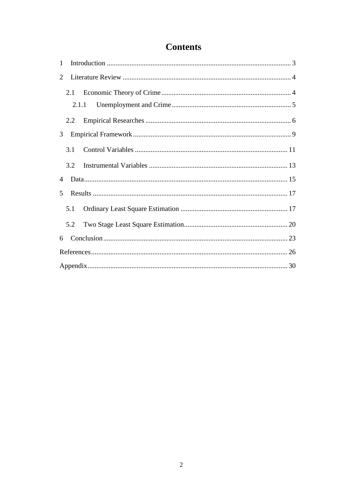### **Contents**

| $\mathbf{1}$ |     |  |  |  |  |  |  |  |  |  |
|--------------|-----|--|--|--|--|--|--|--|--|--|
| 2            |     |  |  |  |  |  |  |  |  |  |
|              | 2.1 |  |  |  |  |  |  |  |  |  |
|              |     |  |  |  |  |  |  |  |  |  |
|              | 2.2 |  |  |  |  |  |  |  |  |  |
| 3            |     |  |  |  |  |  |  |  |  |  |
|              | 3.1 |  |  |  |  |  |  |  |  |  |
|              | 3.2 |  |  |  |  |  |  |  |  |  |
| 4            |     |  |  |  |  |  |  |  |  |  |
| 5            |     |  |  |  |  |  |  |  |  |  |
|              | 5.1 |  |  |  |  |  |  |  |  |  |
|              | 5.2 |  |  |  |  |  |  |  |  |  |
| 6            |     |  |  |  |  |  |  |  |  |  |
|              |     |  |  |  |  |  |  |  |  |  |
|              |     |  |  |  |  |  |  |  |  |  |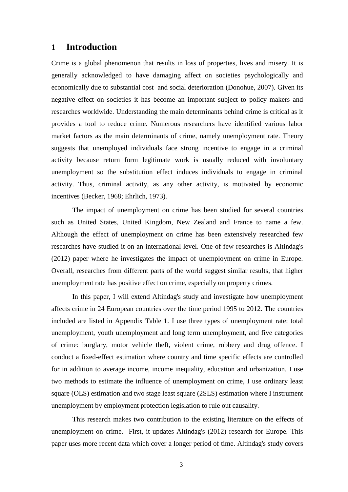#### <span id="page-3-0"></span>**1 Introduction**

Crime is a global phenomenon that results in loss of properties, lives and misery. It is generally acknowledged to have damaging affect on societies psychologically and economically due to substantial cost and social deterioration (Donohue, 2007). Given its negative effect on societies it has become an important subject to policy makers and researches worldwide. Understanding the main determinants behind crime is critical as it provides a tool to reduce crime. Numerous researchers have identified various labor market factors as the main determinants of crime, namely unemployment rate. Theory suggests that unemployed individuals face strong incentive to engage in a criminal activity because return form legitimate work is usually reduced with involuntary unemployment so the substitution effect induces individuals to engage in criminal activity. Thus, criminal activity, as any other activity, is motivated by economic incentives (Becker, 1968; Ehrlich, 1973).

The impact of unemployment on crime has been studied for several countries such as United States, United Kingdom, New Zealand and France to name a few. Although the effect of unemployment on crime has been extensively researched few researches have studied it on an international level. One of few researches is Altindag's (2012) paper where he investigates the impact of unemployment on crime in Europe. Overall, researches from different parts of the world suggest similar results, that higher unemployment rate has positive effect on crime, especially on property crimes.

In this paper, I will extend Altindag's study and investigate how unemployment affects crime in 24 European countries over the time period 1995 to 2012. The countries included are listed in Appendix Table 1. I use three types of unemployment rate: total unemployment, youth unemployment and long term unemployment, and five categories of crime: burglary, motor vehicle theft, violent crime, robbery and drug offence. I conduct a fixed-effect estimation where country and time specific effects are controlled for in addition to average income, income inequality, education and urbanization. I use two methods to estimate the influence of unemployment on crime, I use ordinary least square (OLS) estimation and two stage least square (2SLS) estimation where I instrument unemployment by employment protection legislation to rule out causality.

This research makes two contribution to the existing literature on the effects of unemployment on crime. First, it updates Altindag's (2012) research for Europe. This paper uses more recent data which cover a longer period of time. Altindag's study covers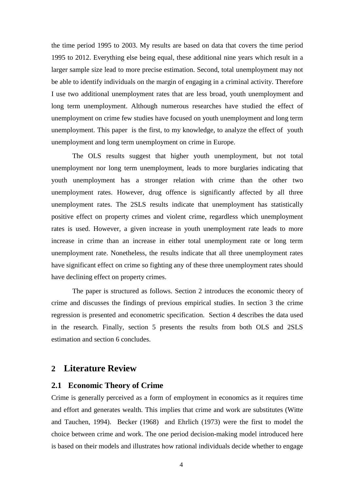the time period 1995 to 2003. My results are based on data that covers the time period 1995 to 2012. Everything else being equal, these additional nine years which result in a larger sample size lead to more precise estimation. Second, total unemployment may not be able to identify individuals on the margin of engaging in a criminal activity. Therefore I use two additional unemployment rates that are less broad, youth unemployment and long term unemployment. Although numerous researches have studied the effect of unemployment on crime few studies have focused on youth unemployment and long term unemployment. This paper is the first, to my knowledge, to analyze the effect of youth unemployment and long term unemployment on crime in Europe.

The OLS results suggest that higher youth unemployment, but not total unemployment nor long term unemployment, leads to more burglaries indicating that youth unemployment has a stronger relation with crime than the other two unemployment rates. However, drug offence is significantly affected by all three unemployment rates. The 2SLS results indicate that unemployment has statistically positive effect on property crimes and violent crime, regardless which unemployment rates is used. However, a given increase in youth unemployment rate leads to more increase in crime than an increase in either total unemployment rate or long term unemployment rate. Nonetheless, the results indicate that all three unemployment rates have significant effect on crime so fighting any of these three unemployment rates should have declining effect on property crimes.

The paper is structured as follows. Section 2 introduces the economic theory of crime and discusses the findings of previous empirical studies. In section 3 the crime regression is presented and econometric specification. Section 4 describes the data used in the research. Finally, section 5 presents the results from both OLS and 2SLS estimation and section 6 concludes.

#### <span id="page-4-0"></span>**2 Literature Review**

#### <span id="page-4-1"></span>**2.1 Economic Theory of Crime**

Crime is generally perceived as a form of employment in economics as it requires time and effort and generates wealth. This implies that crime and work are substitutes (Witte and Tauchen, 1994). Becker (1968) and Ehrlich (1973) were the first to model the choice between crime and work. The one period decision-making model introduced here is based on their models and illustrates how rational individuals decide whether to engage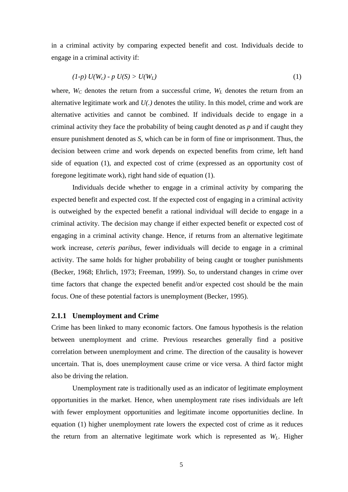in a criminal activity by comparing expected benefit and cost. Individuals decide to engage in a criminal activity if:

$$
(1-p) U(W_c) - p U(S) > U(W_L)
$$
 (1)

where,  $W_C$  denotes the return from a successful crime,  $W_L$  denotes the return from an alternative legitimate work and *U(.)* denotes the utility. In this model, crime and work are alternative activities and cannot be combined. If individuals decide to engage in a criminal activity they face the probability of being caught denoted as *p* and if caught they ensure punishment denoted as *S*, which can be in form of fine or imprisonment. Thus, the decision between crime and work depends on expected benefits from crime, left hand side of equation (1), and expected cost of crime (expressed as an opportunity cost of foregone legitimate work), right hand side of equation (1).

Individuals decide whether to engage in a criminal activity by comparing the expected benefit and expected cost. If the expected cost of engaging in a criminal activity is outweighed by the expected benefit a rational individual will decide to engage in a criminal activity. The decision may change if either expected benefit or expected cost of engaging in a criminal activity change. Hence, if returns from an alternative legitimate work increase, *ceteris paribus*, fewer individuals will decide to engage in a criminal activity. The same holds for higher probability of being caught or tougher punishments (Becker, 1968; Ehrlich, 1973; Freeman, 1999). So, to understand changes in crime over time factors that change the expected benefit and/or expected cost should be the main focus. One of these potential factors is unemployment (Becker, 1995).

#### <span id="page-5-0"></span>**2.1.1 Unemployment and Crime**

Crime has been linked to many economic factors. One famous hypothesis is the relation between unemployment and crime. Previous researches generally find a positive correlation between unemployment and crime. The direction of the causality is however uncertain. That is, does unemployment cause crime or vice versa. A third factor might also be driving the relation.

Unemployment rate is traditionally used as an indicator of legitimate employment opportunities in the market. Hence, when unemployment rate rises individuals are left with fewer employment opportunities and legitimate income opportunities decline. In equation (1) higher unemployment rate lowers the expected cost of crime as it reduces the return from an alternative legitimate work which is represented as *WL*. Higher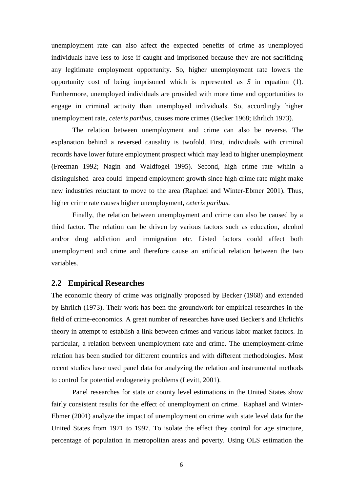unemployment rate can also affect the expected benefits of crime as unemployed individuals have less to lose if caught and imprisoned because they are not sacrificing any legitimate employment opportunity. So, higher unemployment rate lowers the opportunity cost of being imprisoned which is represented as *S* in equation (1). Furthermore, unemployed individuals are provided with more time and opportunities to engage in criminal activity than unemployed individuals. So, accordingly higher unemployment rate, *ceteris paribus*, causes more crimes (Becker 1968; Ehrlich 1973).

The relation between unemployment and crime can also be reverse. The explanation behind a reversed causality is twofold. First, individuals with criminal records have lower future employment prospect which may lead to higher unemployment (Freeman 1992; Nagin and Waldfogel 1995). Second, high crime rate within a distinguished area could impend employment growth since high crime rate might make new industries reluctant to move to the area (Raphael and Winter-Ebmer 2001). Thus, higher crime rate causes higher unemployment, *ceteris paribus*.

Finally, the relation between unemployment and crime can also be caused by a third factor. The relation can be driven by various factors such as education, alcohol and/or drug addiction and immigration etc. Listed factors could affect both unemployment and crime and therefore cause an artificial relation between the two variables.

#### <span id="page-6-0"></span>**2.2 Empirical Researches**

The economic theory of crime was originally proposed by Becker (1968) and extended by Ehrlich (1973). Their work has been the groundwork for empirical researches in the field of crime-economics. A great number of researches have used Becker's and Ehrlich's theory in attempt to establish a link between crimes and various labor market factors. In particular, a relation between unemployment rate and crime. The unemployment-crime relation has been studied for different countries and with different methodologies. Most recent studies have used panel data for analyzing the relation and instrumental methods to control for potential endogeneity problems (Levitt, 2001).

Panel researches for state or county level estimations in the United States show fairly consistent results for the effect of unemployment on crime. Raphael and Winter-Ebmer (2001) analyze the impact of unemployment on crime with state level data for the United States from 1971 to 1997. To isolate the effect they control for age structure, percentage of population in metropolitan areas and poverty. Using OLS estimation the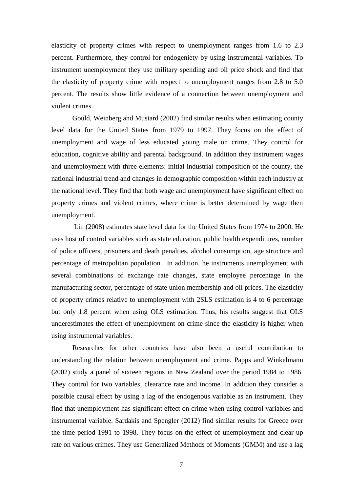elasticity of property crimes with respect to unemployment ranges from 1.6 to 2.3 percent. Furthermore, they control for endogeniety by using instrumental variables. To instrument unemployment they use military spending and oil price shock and find that the elasticity of property crime with respect to unemployment ranges from 2.8 to 5.0 percent. The results show little evidence of a connection between unemployment and violent crimes.

Gould, Weinberg and Mustard (2002) find similar results when estimating county level data for the United States from 1979 to 1997. They focus on the effect of unemployment and wage of less educated young male on crime. They control for education, cognitive ability and parental background. In addition they instrument wages and unemployment with three elements: initial industrial composition of the county, the national industrial trend and changes in demographic composition within each industry at the national level. They find that both wage and unemployment have significant effect on property crimes and violent crimes, where crime is better determined by wage then unemployment.

Lin (2008) estimates state level data for the United States from 1974 to 2000. He uses host of control variables such as state education, public health expenditures, number of police officers, prisoners and death penalties, alcohol consumption, age structure and percentage of metropolitan population. In addition, he instruments unemployment with several combinations of exchange rate changes, state employee percentage in the manufacturing sector, percentage of state union membership and oil prices. The elasticity of property crimes relative to unemployment with 2SLS estimation is 4 to 6 percentage but only 1.8 percent when using OLS estimation. Thus, his results suggest that OLS underestimates the effect of unemployment on crime since the elasticity is higher when using instrumental variables.

Researches for other countries have also been a useful contribution to understanding the relation between unemployment and crime. Papps and Winkelmann (2002) study a panel of sixteen regions in New Zealand over the period 1984 to 1986. They control for two variables, clearance rate and income. In addition they consider a possible causal effect by using a lag of the endogenous variable as an instrument. They find that unemployment has significant effect on crime when using control variables and instrumental variable. Sardakis and Spengler (2012) find similar results for Greece over the time period 1991 to 1998. They focus on the effect of unemployment and clear-up rate on various crimes. They use Generalized Methods of Moments (GMM) and use a lag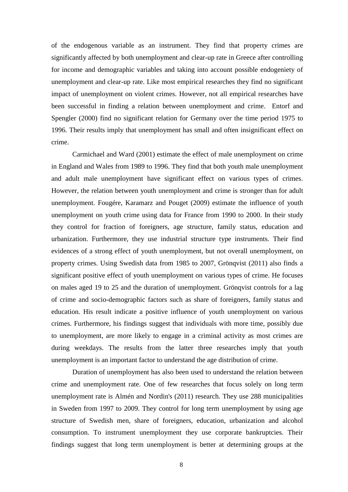of the endogenous variable as an instrument. They find that property crimes are significantly affected by both unemployment and clear-up rate in Greece after controlling for income and demographic variables and taking into account possible endogeniety of unemployment and clear-up rate. Like most empirical researches they find no significant impact of unemployment on violent crimes. However, not all empirical researches have been successful in finding a relation between unemployment and crime. Entorf and Spengler (2000) find no significant relation for Germany over the time period 1975 to 1996. Their results imply that unemployment has small and often insignificant effect on crime.

Carmichael and Ward (2001) estimate the effect of male unemployment on crime in England and Wales from 1989 to 1996. They find that both youth male unemployment and adult male unemployment have significant effect on various types of crimes. However, the relation between youth unemployment and crime is stronger than for adult unemployment. Fougére, Karamarz and Pouget (2009) estimate the influence of youth unemployment on youth crime using data for France from 1990 to 2000. In their study they control for fraction of foreigners, age structure, family status, education and urbanization. Furthermore, they use industrial structure type instruments. Their find evidences of a strong effect of youth unemployment, but not overall unemployment, on property crimes. Using Swedish data from 1985 to 2007, Grönqvist (2011) also finds a significant positive effect of youth unemployment on various types of crime. He focuses on males aged 19 to 25 and the duration of unemployment. Grönqvist controls for a lag of crime and socio-demographic factors such as share of foreigners, family status and education. His result indicate a positive influence of youth unemployment on various crimes. Furthermore, his findings suggest that individuals with more time, possibly due to unemployment, are more likely to engage in a criminal activity as most crimes are during weekdays. The results from the latter three researches imply that youth unemployment is an important factor to understand the age distribution of crime.

Duration of unemployment has also been used to understand the relation between crime and unemployment rate. One of few researches that focus solely on long term unemployment rate is Almén and Nordin's (2011) research. They use 288 municipalities in Sweden from 1997 to 2009. They control for long term unemployment by using age structure of Swedish men, share of foreigners, education, urbanization and alcohol consumption. To instrument unemployment they use corporate bankruptcies. Their findings suggest that long term unemployment is better at determining groups at the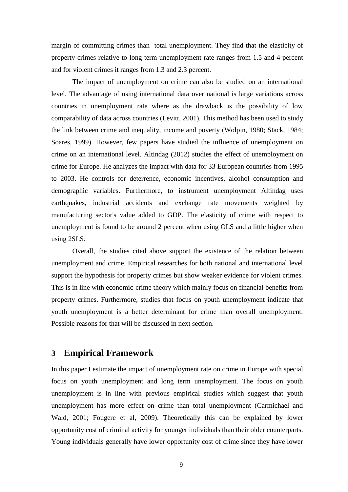margin of committing crimes than total unemployment. They find that the elasticity of property crimes relative to long term unemployment rate ranges from 1.5 and 4 percent and for violent crimes it ranges from 1.3 and 2.3 percent.

The impact of unemployment on crime can also be studied on an international level. The advantage of using international data over national is large variations across countries in unemployment rate where as the drawback is the possibility of low comparability of data across countries (Levitt, 2001). This method has been used to study the link between crime and inequality, income and poverty (Wolpin, 1980; Stack, 1984; Soares, 1999). However, few papers have studied the influence of unemployment on crime on an international level. Altindag (2012) studies the effect of unemployment on crime for Europe. He analyzes the impact with data for 33 European countries from 1995 to 2003. He controls for deterrence, economic incentives, alcohol consumption and demographic variables. Furthermore, to instrument unemployment Altindag uses earthquakes, industrial accidents and exchange rate movements weighted by manufacturing sector's value added to GDP. The elasticity of crime with respect to unemployment is found to be around 2 percent when using OLS and a little higher when using 2SLS.

Overall, the studies cited above support the existence of the relation between unemployment and crime. Empirical researches for both national and international level support the hypothesis for property crimes but show weaker evidence for violent crimes. This is in line with economic-crime theory which mainly focus on financial benefits from property crimes. Furthermore, studies that focus on youth unemployment indicate that youth unemployment is a better determinant for crime than overall unemployment. Possible reasons for that will be discussed in next section.

#### <span id="page-9-0"></span>**3 Empirical Framework**

In this paper I estimate the impact of unemployment rate on crime in Europe with special focus on youth unemployment and long term unemployment. The focus on youth unemployment is in line with previous empirical studies which suggest that youth unemployment has more effect on crime than total unemployment (Carmichael and Wald, 2001; Fougere et al, 2009). Theoretically this can be explained by lower opportunity cost of criminal activity for younger individuals than their older counterparts. Young individuals generally have lower opportunity cost of crime since they have lower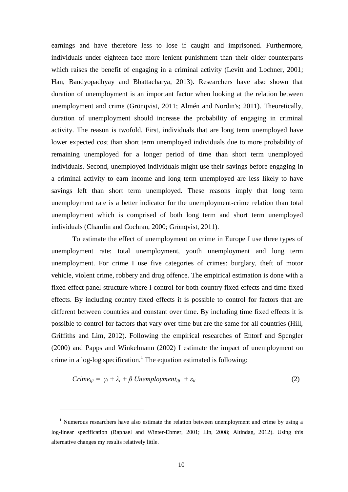earnings and have therefore less to lose if caught and imprisoned. Furthermore, individuals under eighteen face more lenient punishment than their older counterparts which raises the benefit of engaging in a criminal activity (Levitt and Lochner, 2001; Han, Bandyopadhyay and Bhattacharya, 2013). Researchers have also shown that duration of unemployment is an important factor when looking at the relation between unemployment and crime (Grönqvist, 2011; Almén and Nordin's; 2011). Theoretically, duration of unemployment should increase the probability of engaging in criminal activity. The reason is twofold. First, individuals that are long term unemployed have lower expected cost than short term unemployed individuals due to more probability of remaining unemployed for a longer period of time than short term unemployed individuals. Second, unemployed individuals might use their savings before engaging in a criminal activity to earn income and long term unemployed are less likely to have savings left than short term unemployed. These reasons imply that long term unemployment rate is a better indicator for the unemployment-crime relation than total unemployment which is comprised of both long term and short term unemployed individuals (Chamlin and Cochran, 2000; Grönqvist, 2011).

To estimate the effect of unemployment on crime in Europe I use three types of unemployment rate: total unemployment, youth unemployment and long term unemployment. For crime I use five categories of crimes: burglary, theft of motor vehicle, violent crime, robbery and drug offence. The empirical estimation is done with a fixed effect panel structure where I control for both country fixed effects and time fixed effects. By including country fixed effects it is possible to control for factors that are different between countries and constant over time. By including time fixed effects it is possible to control for factors that vary over time but are the same for all countries (Hill, Griffiths and Lim, 2012). Following the empirical researches of Entorf and Spengler (2000) and Papps and Winkelmann (2002) I estimate the impact of unemployment on crime in a log-log specification.<sup>1</sup> The equation estimated is following:

$$
C \text{time}_{ijt} = \gamma_i + \lambda_t + \beta \text{Unemployment}_{ijt} + \varepsilon_{it} \tag{2}
$$

<u>.</u>

<sup>&</sup>lt;sup>1</sup> Numerous researchers have also estimate the relation between unemployment and crime by using a log-linear specification (Raphael and Winter-Ebmer, 2001; Lin, 2008; Altindag, 2012). Using this alternative changes my results relatively little.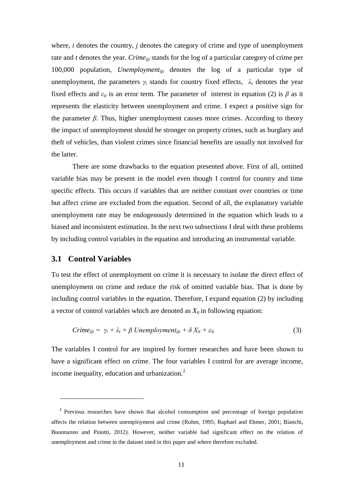where, *i* denotes the country, *j* denotes the category of crime and type of unemployment rate and *t* denotes the year. *Crime*<sub>ijt</sub> stands for the log of a particular category of crime per 100,000 population, *Unemploymentijt* denotes the log of a particular type of unemployment, the parameters  $\gamma_i$  stands for country fixed effects,  $\lambda_t$  denotes the year fixed effects and  $\varepsilon_{it}$  is an error term. The parameter of interest in equation (2) is  $\beta$  as it represents the elasticity between unemployment and crime. I expect a positive sign for the parameter  $\beta$ . Thus, higher unemployment causes more crimes. According to theory the impact of unemployment should be stronger on property crimes, such as burglary and theft of vehicles, than violent crimes since financial benefits are usually not involved for the latter.

There are some drawbacks to the equation presented above. First of all, omitted variable bias may be present in the model even though I control for country and time specific effects. This occurs if variables that are neither constant over countries or time but affect crime are excluded from the equation. Second of all, the explanatory variable unemployment rate may be endogenously determined in the equation which leads to a biased and inconsistent estimation. In the next two subsections I deal with these problems by including control variables in the equation and introducing an instrumental variable.

#### <span id="page-11-0"></span>**3.1 Control Variables**

<u>.</u>

To test the effect of unemployment on crime it is necessary to isolate the direct effect of unemployment on crime and reduce the risk of omitted variable bias. That is done by including control variables in the equation. Therefore, I expand equation (2) by including a vector of control variables which are denoted as  $X_{it}$  in following equation:

$$
C \text{time}_{ijt} = \gamma_i + \lambda_t + \beta \text{Unemployment}_{ijt} + \delta \text{X}_{it} + \varepsilon_{it} \tag{3}
$$

The variables I control for are inspired by former researches and have been shown to have a significant effect on crime. The four variables I control for are average income, income inequality, education and urbanization.<sup>2</sup>

<sup>&</sup>lt;sup>2</sup> Previous researches have shown that alcohol consumption and percentage of foreign population affects the relation between unemployment and crime (Ruhm, 1995; Raphael and Ebmer, 2001; Bianchi, Buonnanno and Pinotti, 2012). However, neither variable had significant effect on the relation of unemployment and crime in the dataset used in this paper and where therefore excluded.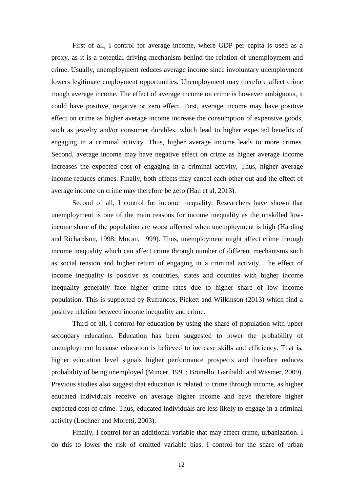First of all, I control for average income, where GDP per capita is used as a proxy, as it is a potential driving mechanism behind the relation of unemployment and crime. Usually, unemployment reduces average income since involuntary unemployment lowers legitimate employment opportunities. Unemployment may therefore affect crime trough average income. The effect of average income on crime is however ambiguous, it could have positive, negative or zero effect. First, average income may have positive effect on crime as higher average income increase the consumption of expensive goods, such as jewelry and/or consumer durables, which lead to higher expected benefits of engaging in a criminal activity. Thus, higher average income leads to more crimes. Second, average income may have negative effect on crime as higher average income increases the expected cost of engaging in a criminal activity, Thus, higher average income reduces crimes. Finally, both effects may cancel each other out and the effect of average income on crime may therefore be zero (Han et al, 2013).

Second of all, I control for income inequality. Researchers have shown that unemployment is one of the main reasons for income inequality as the unskilled lowincome share of the population are worst affected when unemployment is high (Harding and Richardson, 1998; Mocan, 1999). Thus, unemployment might affect crime through income inequality which can affect crime through number of different mechanisms such as social tension and higher return of engaging in a criminal activity. The effect of income inequality is positive as countries, states and counties with higher income inequality generally face higher crime rates due to higher share of low income population. This is supported by Rufrancos, Pickett and Wilkinson (2013) which find a positive relation between income inequality and crime.

Third of all, I control for education by using the share of population with upper secondary education. Education has been suggested to lower the probability of unemployment because education is believed to increase skills and efficiency. That is, higher education level signals higher performance prospects and therefore reduces probability of being unemployed (Mincer, 1991; Brunello, Garibaldi and Wasmer, 2009). Previous studies also suggest that education is related to crime through income, as higher educated individuals receive on average higher income and have therefore higher expected cost of crime. Thus, educated individuals are less likely to engage in a criminal activity (Lochner and Moretti, 2003).

Finally, I control for an additional variable that may affect crime, urbanization. I do this to lower the risk of omitted variable bias. I control for the share of urban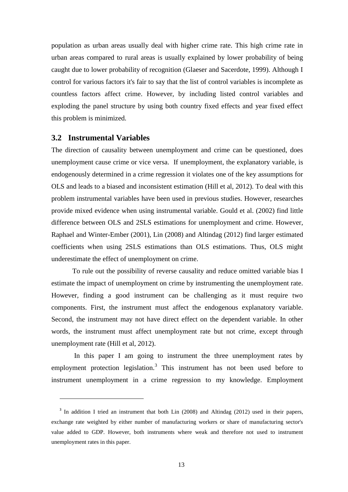population as urban areas usually deal with higher crime rate. This high crime rate in urban areas compared to rural areas is usually explained by lower probability of being caught due to lower probability of recognition (Glaeser and Sacerdote, 1999). Although I control for various factors it's fair to say that the list of control variables is incomplete as countless factors affect crime. However, by including listed control variables and exploding the panel structure by using both country fixed effects and year fixed effect this problem is minimized.

#### <span id="page-13-0"></span>**3.2 Instrumental Variables**

<u>.</u>

The direction of causality between unemployment and crime can be questioned, does unemployment cause crime or vice versa. If unemployment, the explanatory variable, is endogenously determined in a crime regression it violates one of the key assumptions for OLS and leads to a biased and inconsistent estimation (Hill et al, 2012). To deal with this problem instrumental variables have been used in previous studies. However, researches provide mixed evidence when using instrumental variable. Gould et al. (2002) find little difference between OLS and 2SLS estimations for unemployment and crime. However, Raphael and Winter-Ember (2001), Lin (2008) and Altindag (2012) find larger estimated coefficients when using 2SLS estimations than OLS estimations. Thus, OLS might underestimate the effect of unemployment on crime.

To rule out the possibility of reverse causality and reduce omitted variable bias I estimate the impact of unemployment on crime by instrumenting the unemployment rate. However, finding a good instrument can be challenging as it must require two components. First, the instrument must affect the endogenous explanatory variable. Second, the instrument may not have direct effect on the dependent variable. In other words, the instrument must affect unemployment rate but not crime, except through unemployment rate (Hill et al, 2012).

In this paper I am going to instrument the three unemployment rates by employment protection legislation.<sup>3</sup> This instrument has not been used before to instrument unemployment in a crime regression to my knowledge. Employment

<sup>&</sup>lt;sup>3</sup> In addition I tried an instrument that both Lin (2008) and Altindag (2012) used in their papers, exchange rate weighted by either number of manufacturing workers or share of manufacturing sector's value added to GDP. However, both instruments where weak and therefore not used to instrument unemployment rates in this paper.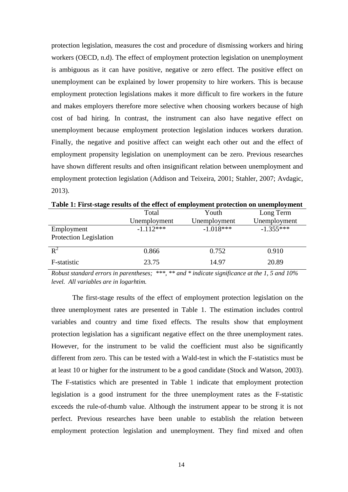protection legislation, measures the cost and procedure of dismissing workers and hiring workers (OECD, n.d). The effect of employment protection legislation on unemployment is ambiguous as it can have positive, negative or zero effect. The positive effect on unemployment can be explained by lower propensity to hire workers. This is because employment protection legislations makes it more difficult to fire workers in the future and makes employers therefore more selective when choosing workers because of high cost of bad hiring. In contrast, the instrument can also have negative effect on unemployment because employment protection legislation induces workers duration. Finally, the negative and positive affect can weight each other out and the effect of employment propensity legislation on unemployment can be zero. Previous researches have shown different results and often insignificant relation between unemployment and employment protection legislation (Addison and Teixeira, 2001; Stahler, 2007; Avdagic, 2013).

|                        | Total        | Youth        | Long Term    |
|------------------------|--------------|--------------|--------------|
|                        | Unemployment | Unemployment | Unemployment |
| Employment             | $-1.112***$  | $-1.018***$  | $-1.355***$  |
| Protection Legislation |              |              |              |
| $\mathbb{R}^2$         | 0.866        | 0.752        | 0.910        |
| F-statistic            | 23.75        | 14.97        | 20.89        |

**Table 1: First-stage results of the effect of employment protection on unemployment**

*Robust standard errors in parentheses; \*\*\*, \*\* and \* indicate significance at the 1, 5 and 10% level. All variables are in logarhtim.* 

The first-stage results of the effect of employment protection legislation on the three unemployment rates are presented in Table 1. The estimation includes control variables and country and time fixed effects. The results show that employment protection legislation has a significant negative effect on the three unemployment rates. However, for the instrument to be valid the coefficient must also be significantly different from zero. This can be tested with a Wald-test in which the F-statistics must be at least 10 or higher for the instrument to be a good candidate (Stock and Watson, 2003). The F-statistics which are presented in Table 1 indicate that employment protection legislation is a good instrument for the three unemployment rates as the F-statistic exceeds the rule-of-thumb value. Although the instrument appear to be strong it is not perfect. Previous researches have been unable to establish the relation between employment protection legislation and unemployment. They find mixed and often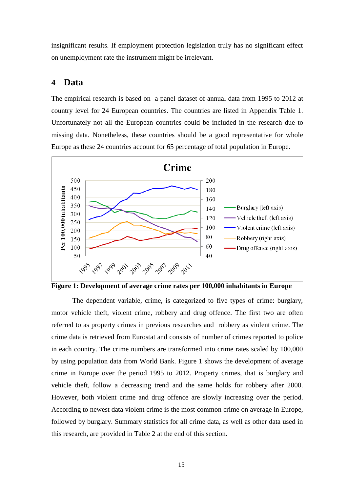insignificant results. If employment protection legislation truly has no significant effect on unemployment rate the instrument might be irrelevant.

#### <span id="page-15-0"></span>**4 Data**

The empirical research is based on a panel dataset of annual data from 1995 to 2012 at country level for 24 European countries. The countries are listed in Appendix Table 1. Unfortunately not all the European countries could be included in the research due to missing data. Nonetheless, these countries should be a good representative for whole Europe as these 24 countries account for 65 percentage of total population in Europe.



**Figure 1: Development of average crime rates per 100,000 inhabitants in Europe**

The dependent variable, crime, is categorized to five types of crime: burglary, motor vehicle theft, violent crime, robbery and drug offence. The first two are often referred to as property crimes in previous researches and robbery as violent crime. The crime data is retrieved from Eurostat and consists of number of crimes reported to police in each country. The crime numbers are transformed into crime rates scaled by 100,000 by using population data from World Bank. Figure 1 shows the development of average crime in Europe over the period 1995 to 2012. Property crimes, that is burglary and vehicle theft, follow a decreasing trend and the same holds for robbery after 2000. However, both violent crime and drug offence are slowly increasing over the period. According to newest data violent crime is the most common crime on average in Europe, followed by burglary. Summary statistics for all crime data, as well as other data used in this research, are provided in Table 2 at the end of this section.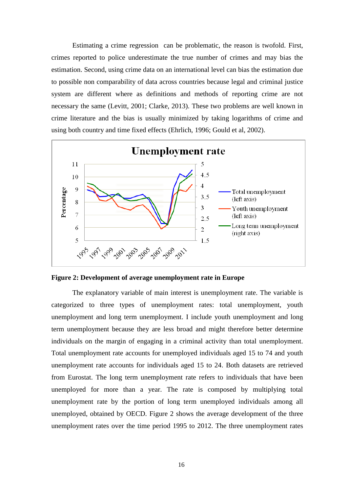Estimating a crime regression can be problematic, the reason is twofold. First, crimes reported to police underestimate the true number of crimes and may bias the estimation. Second, using crime data on an international level can bias the estimation due to possible non comparability of data across countries because legal and criminal justice system are different where as definitions and methods of reporting crime are not necessary the same (Levitt, 2001; Clarke, 2013). These two problems are well known in crime literature and the bias is usually minimized by taking logarithms of crime and using both country and time fixed effects (Ehrlich, 1996; Gould et al, 2002).



**Figure 2: Development of average unemployment rate in Europe**

The explanatory variable of main interest is unemployment rate. The variable is categorized to three types of unemployment rates: total unemployment, youth unemployment and long term unemployment. I include youth unemployment and long term unemployment because they are less broad and might therefore better determine individuals on the margin of engaging in a criminal activity than total unemployment. Total unemployment rate accounts for unemployed individuals aged 15 to 74 and youth unemployment rate accounts for individuals aged 15 to 24. Both datasets are retrieved from Eurostat. The long term unemployment rate refers to individuals that have been unemployed for more than a year. The rate is composed by multiplying total unemployment rate by the portion of long term unemployed individuals among all unemployed, obtained by OECD. Figure 2 shows the average development of the three unemployment rates over the time period 1995 to 2012. The three unemployment rates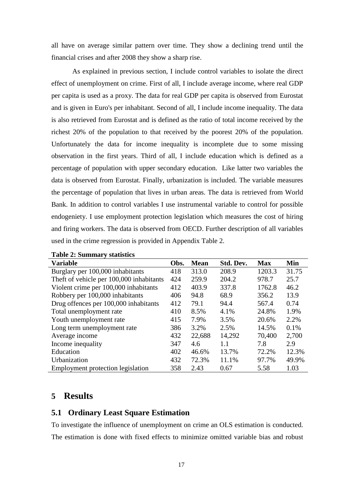all have on average similar pattern over time. They show a declining trend until the financial crises and after 2008 they show a sharp rise.

As explained in previous section, I include control variables to isolate the direct effect of unemployment on crime. First of all, I include average income, where real GDP per capita is used as a proxy. The data for real GDP per capita is observed from Eurostat and is given in Euro's per inhabitant. Second of all, I include income inequality. The data is also retrieved from Eurostat and is defined as the ratio of total income received by the richest 20% of the population to that received by the poorest 20% of the population. Unfortunately the data for income inequality is incomplete due to some missing observation in the first years. Third of all, I include education which is defined as a percentage of population with upper secondary education. Like latter two variables the data is observed from Eurostat. Finally, urbanization is included. The variable measures the percentage of population that lives in urban areas. The data is retrieved from World Bank. In addition to control variables I use instrumental variable to control for possible endogeniety. I use employment protection legislation which measures the cost of hiring and firing workers. The data is observed from OECD. Further description of all variables used in the crime regression is provided in Appendix Table 2.

| <b>Variable</b>                          | Obs. | <b>Mean</b> | Std. Dev. | <b>Max</b> | Min   |
|------------------------------------------|------|-------------|-----------|------------|-------|
| Burglary per 100,000 inhabitants         | 418  | 313.0       | 208.9     | 1203.3     | 31.75 |
| Theft of vehicle per 100,000 inhabitants | 424  | 259.9       | 204.2     | 978.7      | 25.7  |
| Violent crime per 100,000 inhabitants    | 412  | 403.9       | 337.8     | 1762.8     | 46.2  |
| Robbery per 100,000 inhabitants          | 406  | 94.8        | 68.9      | 356.2      | 13.9  |
| Drug offences per 100,000 inhabitants    | 412  | 79.1        | 94.4      | 567.4      | 0.74  |
| Total unemployment rate                  | 410  | 8.5%        | 4.1%      | 24.8%      | 1.9%  |
| Youth unemployment rate                  | 415  | 7.9%        | 3.5%      | 20.6%      | 2.2%  |
| Long term unemployment rate              | 386  | 3.2%        | 2.5%      | 14.5%      | 0.1%  |
| Average income                           | 432  | 22,688      | 14,292    | 70,400     | 2,700 |
| Income inequality                        | 347  | 4.6         | 1.1       | 7.8        | 2.9   |
| Education                                | 402  | 46.6%       | 13.7%     | 72.2%      | 12.3% |
| Urbanization                             | 432  | 72.3%       | 11.1%     | 97.7%      | 49.9% |
| Employment protection legislation        | 358  | 2.43        | 0.67      | 5.58       | 1.03  |

**Table 2: Summary statistics**

#### <span id="page-17-0"></span>**5 Results**

#### <span id="page-17-1"></span>**5.1 Ordinary Least Square Estimation**

To investigate the influence of unemployment on crime an OLS estimation is conducted. The estimation is done with fixed effects to minimize omitted variable bias and robust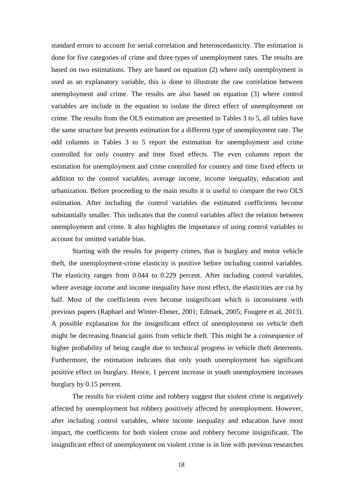standard errors to account for serial correlation and heteroscedasticity. The estimation is done for five categories of crime and three types of unemployment rates. The results are based on two estimations. They are based on equation (2) where only unemployment is used as an explanatory variable, this is done to illustrate the raw correlation between unemployment and crime. The results are also based on equation (3) where control variables are include in the equation to isolate the direct effect of unemployment on crime. The results from the OLS estimation are presented in Tables 3 to 5, all tables have the same structure but presents estimation for a different type of unemployment rate. The odd columns in Tables 3 to 5 report the estimation for unemployment and crime controlled for only country and time fixed effects. The even columns report the estimation for unemployment and crime controlled for country and time fixed effects in addition to the control variables; average income, income inequality, education and urbanization. Before proceeding to the main results it is useful to compare the two OLS estimation. After including the control variables the estimated coefficients become substantially smaller. This indicates that the control variables affect the relation between unemployment and crime. It also highlights the importance of using control variables to account for omitted variable bias.

Starting with the results for property crimes, that is burglary and motor vehicle theft, the unemployment-crime elasticity is positive before including control variables. The elasticity ranges from 0.044 to 0.229 percent. After including control variables, where average income and income inequality have most effect, the elasticities are cut by half. Most of the coefficients even become insignificant which is inconsistent with previous papers (Raphael and Winter-Ebmer, 2001; Edmark, 2005; Fougere et al, 2013). A possible explanation for the insignificant effect of unemployment on vehicle theft might be decreasing financial gains from vehicle theft. This might be a consequence of higher probability of being caught due to technical progress in vehicle theft deterrents. Furthermore, the estimation indicates that only youth unemployment has significant positive effect on burglary. Hence, 1 percent increase in youth unemployment increases burglary by 0.15 percent.

The results for violent crime and robbery suggest that violent crime is negatively affected by unemployment but robbery positively affected by unemployment. However, after including control variables, where income inequality and education have most impact, the coefficients for both violent crime and robbery become insignificant. The insignificant effect of unemployment on violent crime is in line with previous researches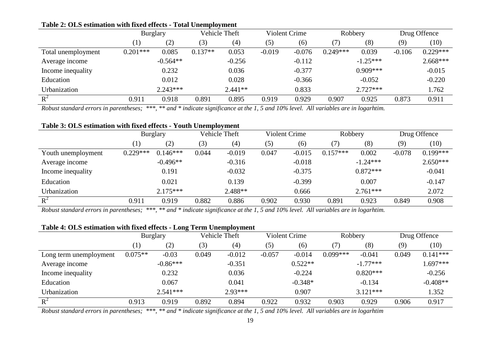|                    | .               |            |           |               |          |                      |            |            |          |              |
|--------------------|-----------------|------------|-----------|---------------|----------|----------------------|------------|------------|----------|--------------|
|                    | <b>Burglary</b> |            |           | Vehicle Theft |          | <b>Violent Crime</b> |            | Robbery    |          | Drug Offence |
|                    |                 | (2)        | (3)       | (4)           | (5)      | (6)                  |            | (8)        | (9)      | (10)         |
| Total unemployment | $0.201***$      | 0.085      | $0.137**$ | 0.053         | $-0.019$ | $-0.076$             | $0.249***$ | 0.039      | $-0.106$ | $0.229***$   |
| Average income     |                 | $-0.564**$ |           | $-0.256$      |          | $-0.112$             |            | $-1.25***$ |          | $2.668***$   |
| Income inequality  |                 | 0.232      |           | 0.036         |          | $-0.377$             |            | $0.909***$ |          | $-0.015$     |
| Education          |                 | 0.012      |           | 0.028         |          | $-0.366$             |            | $-0.052$   |          | $-0.220$     |
| Urbanization       |                 | $2.243***$ |           | $2.441**$     |          | 0.833                |            | $2.727***$ |          | 1.762        |
| $R^2$              | 0.911           | 0.918      | 0.891     | 0.895         | 0.919    | 0.929                | 0.907      | 0.925      | 0.873    | 0.911        |

#### **Table 2: OLS estimation with fixed effects - Total Unemployment**

*Robust standard errors in parentheses; \*\*\*, \*\* and \* indicate significance at the 1, 5 and 10% level. All variables are in logarhtim.* 

#### **Table 3: OLS estimation with fixed effects - Youth Unemployment**

|                    | <b>Burglary</b>              |            |       | Vehicle Theft |       | Violent Crime | Robbery    |            |          | Drug Offence |
|--------------------|------------------------------|------------|-------|---------------|-------|---------------|------------|------------|----------|--------------|
|                    | $\left( \frac{1}{2} \right)$ | (2)        | (3)   | (4)           | (5)   | (6)           |            | (8)        | (9)      | (10)         |
| Youth unemployment | $0.229***$                   | $0.146***$ | 0.044 | $-0.019$      | 0.047 | $-0.015$      | $0.157***$ | 0.002      | $-0.078$ | $0.199***$   |
| Average income     |                              | $-0.496**$ |       | $-0.316$      |       | $-0.018$      |            | $-1.24***$ |          | $2.650***$   |
| Income inequality  |                              | 0.191      |       | $-0.032$      |       | $-0.375$      |            | $0.872***$ |          | $-0.041$     |
| Education          |                              | 0.021      |       | 0.139         |       | $-0.399$      |            | 0.007      |          | $-0.147$     |
| Urbanization       |                              | $2.175***$ |       | $2.488**$     |       | 0.666         |            | $2.761***$ |          | 2.072        |
| $R^2$              | 0.911                        | 0.919      | 0.882 | 0.886         | 0.902 | 0.930         | 0.891      | 0.923      | 0.849    | 0.908        |

*Robust standard errors in parentheses; \*\*\*, \*\* and \* indicate significance at the 1, 5 and 10% level. All variables are in logarhtim.* 

#### **Table 4: OLS estimation with fixed effects - Long Term Unemployment**

|                        | Vehicle Theft<br><b>Burglary</b> |            |       | <b>Violent Crime</b> |          |           | Robbery    |            | Drug Offence |            |
|------------------------|----------------------------------|------------|-------|----------------------|----------|-----------|------------|------------|--------------|------------|
|                        |                                  | (2)        | (3)   | (4)                  | (5)      | (6)       |            | (8)        | (9)          | (10)       |
| Long term unemployment | $0.075**$                        | $-0.03$    | 0.049 | $-0.012$             | $-0.057$ | $-0.014$  | $0.099***$ | $-0.041$   | 0.049        | $0.141***$ |
| Average income         |                                  | $-0.86***$ |       | $-0.351$             |          | $0.522**$ |            | $-1.77***$ |              | $1.697***$ |
| Income inequality      |                                  | 0.232      |       | 0.036                |          | $-0.224$  |            | $0.820***$ |              | $-0.256$   |
| Education              |                                  | 0.067      |       | 0.041                |          | $-0.348*$ |            | $-0.134$   |              | $-0.408**$ |
| Urbanization           |                                  | $2.541***$ |       | $2.93***$            |          | 0.907     |            | $3.121***$ |              | 1.352      |
| $R^2$                  | 0.913                            | 0.919      | 0.892 | 0.894                | 0.922    | 0.932     | 0.903      | 0.929      | 0.906        | 0.917      |

*Robust standard errors in parentheses; \*\*\*, \*\* and \* indicate significance at the 1, 5 and 10% level. All variables are in logarhtim*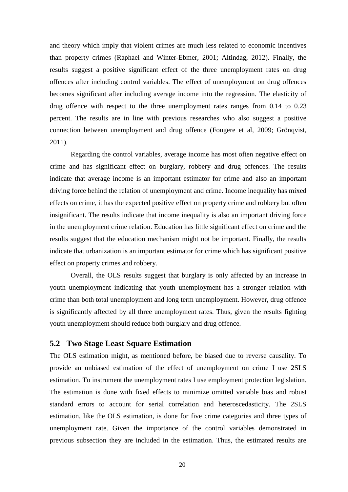<span id="page-20-0"></span>and theory which imply that violent crimes are much less related to economic incentives than property crimes (Raphael and Winter-Ebmer, 2001; Altindag, 2012). Finally, the results suggest a positive significant effect of the three unemployment rates on drug offences after including control variables. The effect of unemployment on drug offences becomes significant after including average income into the regression. The elasticity of drug offence with respect to the three unemployment rates ranges from 0.14 to 0.23 percent. The results are in line with previous researches who also suggest a positive connection between unemployment and drug offence (Fougere et al, 2009; Grönqvist, 2011).

Regarding the control variables, average income has most often negative effect on crime and has significant effect on burglary, robbery and drug offences. The results indicate that average income is an important estimator for crime and also an important driving force behind the relation of unemployment and crime. Income inequality has mixed effects on crime, it has the expected positive effect on property crime and robbery but often insignificant. The results indicate that income inequality is also an important driving force in the unemployment crime relation. Education has little significant effect on crime and the results suggest that the education mechanism might not be important. Finally, the results indicate that urbanization is an important estimator for crime which has significant positive effect on property crimes and robbery.

Overall, the OLS results suggest that burglary is only affected by an increase in youth unemployment indicating that youth unemployment has a stronger relation with crime than both total unemployment and long term unemployment. However, drug offence is significantly affected by all three unemployment rates. Thus, given the results fighting youth unemployment should reduce both burglary and drug offence.

#### **5.2 Two Stage Least Square Estimation**

The OLS estimation might, as mentioned before, be biased due to reverse causality. To provide an unbiased estimation of the effect of unemployment on crime I use 2SLS estimation. To instrument the unemployment rates I use employment protection legislation. The estimation is done with fixed effects to minimize omitted variable bias and robust standard errors to account for serial correlation and heteroscedasticity. The 2SLS estimation, like the OLS estimation, is done for five crime categories and three types of unemployment rate. Given the importance of the control variables demonstrated in previous subsection they are included in the estimation. Thus, the estimated results are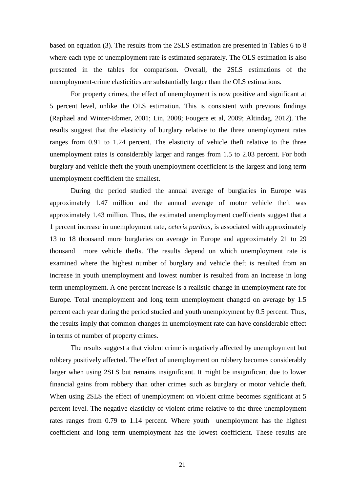based on equation (3). The results from the 2SLS estimation are presented in Tables 6 to 8 where each type of unemployment rate is estimated separately. The OLS estimation is also presented in the tables for comparison. Overall, the 2SLS estimations of the unemployment-crime elasticities are substantially larger than the OLS estimations.

For property crimes, the effect of unemployment is now positive and significant at 5 percent level, unlike the OLS estimation. This is consistent with previous findings (Raphael and Winter-Ebmer, 2001; Lin, 2008; Fougere et al, 2009; Altindag, 2012). The results suggest that the elasticity of burglary relative to the three unemployment rates ranges from 0.91 to 1.24 percent. The elasticity of vehicle theft relative to the three unemployment rates is considerably larger and ranges from 1.5 to 2.03 percent. For both burglary and vehicle theft the youth unemployment coefficient is the largest and long term unemployment coefficient the smallest.

During the period studied the annual average of burglaries in Europe was approximately 1.47 million and the annual average of motor vehicle theft was approximately 1.43 million. Thus, the estimated unemployment coefficients suggest that a 1 percent increase in unemployment rate, *ceteris paribus*, is associated with approximately 13 to 18 thousand more burglaries on average in Europe and approximately 21 to 29 thousand more vehicle thefts. The results depend on which unemployment rate is examined where the highest number of burglary and vehicle theft is resulted from an increase in youth unemployment and lowest number is resulted from an increase in long term unemployment. A one percent increase is a realistic change in unemployment rate for Europe. Total unemployment and long term unemployment changed on average by 1.5 percent each year during the period studied and youth unemployment by 0.5 percent. Thus, the results imply that common changes in unemployment rate can have considerable effect in terms of number of property crimes.

The results suggest a that violent crime is negatively affected by unemployment but robbery positively affected. The effect of unemployment on robbery becomes considerably larger when using 2SLS but remains insignificant. It might be insignificant due to lower financial gains from robbery than other crimes such as burglary or motor vehicle theft. When using 2SLS the effect of unemployment on violent crime becomes significant at 5 percent level. The negative elasticity of violent crime relative to the three unemployment rates ranges from 0.79 to 1.14 percent. Where youth unemployment has the highest coefficient and long term unemployment has the lowest coefficient. These results are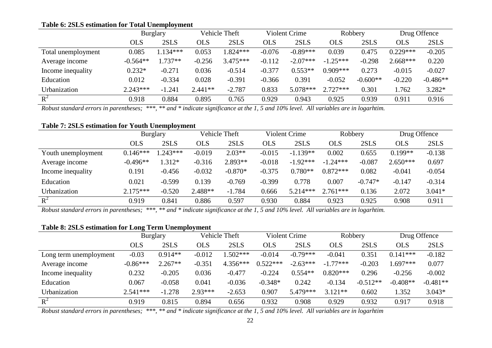#### **Table 6: 2SLS estimation for Total Unemployment**

|                    | <b>Burglary</b> |            | <b>Vehicle Theft</b> |            | <b>Violent Crime</b> |            | Robbery    |            | Drug Offence |            |
|--------------------|-----------------|------------|----------------------|------------|----------------------|------------|------------|------------|--------------|------------|
|                    | <b>OLS</b>      | 2SLS       | <b>OLS</b>           | 2SLS       | OLS                  | 2SLS       | OLS        | 2SLS       | OLS          | 2SLS       |
| Total unemployment | 0.085           | $1.134***$ | 0.053                | $1.824***$ | $-0.076$             | $-0.89***$ | 0.039      | 0.475      | $0.229***$   | $-0.205$   |
| Average income     | $-0.564**$      | $1.737**$  | $-0.256$             | $3.475***$ | $-0.112$             | $-2.07***$ | $-1.25***$ | $-0.298$   | $2.668***$   | 0.220      |
| Income inequality  | $0.232*$        | $-0.271$   | 0.036                | $-0.514$   | $-0.377$             | $0.553**$  | $0.909***$ | 0.273      | $-0.015$     | $-0.027$   |
| Education          | 0.012           | $-0.334$   | 0.028                | $-0.391$   | $-0.366$             | 0.391      | $-0.052$   | $-0.600**$ | $-0.220$     | $-0.486**$ |
| Urbanization       | $2.243***$      | $-1.241$   | $2.441**$            | $-2.787$   | 0.833                | 5.078***   | $2.727***$ | 0.301      | 1.762        | 3.282*     |
| $R^2$              | 0.918           | 0.884      | 0.895                | 0.765      | 0.929                | 0.943      | 0.925      | 0.939      | 0.911        | 0.916      |

*Robust standard errors in parentheses; \*\*\*, \*\* and \* indicate significance at the 1, 5 and 10% level. All variables are in logarhtim.* 

#### **Table 7: 2SLS estimation for Youth Unemployment**

|                    | Vehicle Theft<br><b>Burglary</b> |            |            | Violent Crime |            | Robbery    |            | Drug Offence |            |          |
|--------------------|----------------------------------|------------|------------|---------------|------------|------------|------------|--------------|------------|----------|
|                    | <b>OLS</b>                       | 2SLS       | <b>OLS</b> | 2SLS          | <b>OLS</b> | 2SLS       | <b>OLS</b> | 2SLS         | OLS        | 2SLS     |
| Youth unemployment | $0.146***$                       | $1.243***$ | $-0.019$   | $2.03**$      | $-0.015$   | $-1.139**$ | 0.002      | 0.655        | $0.199**$  | $-0.138$ |
| Average income     | $-0.496**$                       | 1.312*     | $-0.316$   | $2.893**$     | $-0.018$   | $-1.92***$ | $-1.24***$ | $-0.087$     | $2.650***$ | 0.697    |
| Income inequality  | 0.191                            | $-0.456$   | $-0.032$   | $-0.870*$     | $-0.375$   | $0.780**$  | $0.872***$ | 0.082        | $-0.041$   | $-0.054$ |
| Education          | 0.021                            | $-0.599$   | 0.139      | $-0.769$      | $-0.399$   | 0.778      | 0.007      | $-0.747*$    | $-0.147$   | $-0.314$ |
| Urbanization       | $2.175***$                       | $-0.520$   | $2.488**$  | $-1.784$      | 0.666      | $5.214***$ | $2.761***$ | 0.136        | 2.072      | $3.041*$ |
| $R^2$              | 0.919                            | 0.841      | 0.886      | 0.597         | 0.930      | 0.884      | 0.923      | 0.925        | 0.908      | 0.911    |

*Robust standard errors in parentheses; \*\*\*, \*\* and \* indicate significance at the 1, 5 and 10% level. All variables are in logarhtim.* 

#### **Table 8: 2SLS estimation for Long Term Unemployment**

|                        | <b>Burglary</b> |           |           | Vehicle Theft |            | Violent Crime |            | Robbery    |            | Drug Offence |
|------------------------|-----------------|-----------|-----------|---------------|------------|---------------|------------|------------|------------|--------------|
|                        | OLS             | 2SLS      | OLS       | 2SLS          | OLS        | 2SLS          | OLS        | 2SLS       | OLS        | 2SLS         |
| Long term unemployment | $-0.03$         | $0.914**$ | $-0.012$  | $.502***$     | $-0.014$   | $-0.79***$    | $-0.041$   | 0.351      | $0.141***$ | $-0.182$     |
| Average income         | $-0.86***$      | $2.267**$ | $-0.351$  | $4.356***$    | $0.522***$ | $-2.63***$    | $-1.77***$ | $-0.203$   | $.697***$  | 0.077        |
| Income inequality      | 0.232           | $-0.205$  | 0.036     | $-0.477$      | $-0.224$   | $0.554**$     | $0.820***$ | 0.296      | $-0.256$   | $-0.002$     |
| Education              | 0.067           | $-0.058$  | 0.041     | $-0.036$      | $-0.348*$  | 0.242         | $-0.134$   | $-0.512**$ | $-0.408**$ | $-0.481**$   |
| Urbanization           | $2.541***$      | $-1.278$  | $2.93***$ | $-2.653$      | 0.907      | 5.479***      | $3.121**$  | 0.602      | 1.352      | $3.043*$     |
| $R^2$                  | 0.919           | 0.815     | 0.894     | 0.656         | 0.932      | 0.908         | 0.929      | 0.932      | 0.917      | 0.918        |

*Robust standard errors in parentheses; \*\*\*, \*\* and \* indicate significance at the 1, 5 and 10% level. All variables are in logarhtim*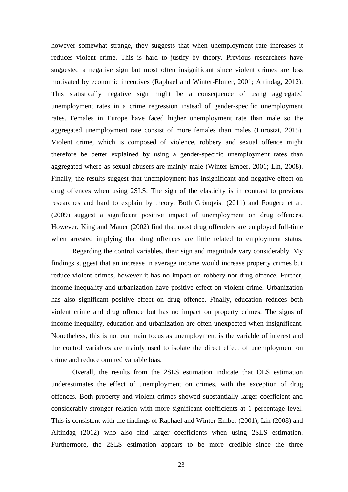<span id="page-23-0"></span>however somewhat strange, they suggests that when unemployment rate increases it reduces violent crime. This is hard to justify by theory. Previous researchers have suggested a negative sign but most often insignificant since violent crimes are less motivated by economic incentives (Raphael and Winter-Ebmer, 2001; Altindag, 2012). This statistically negative sign might be a consequence of using aggregated unemployment rates in a crime regression instead of gender-specific unemployment rates. Females in Europe have faced higher unemployment rate than male so the aggregated unemployment rate consist of more females than males (Eurostat, 2015). Violent crime, which is composed of violence, robbery and sexual offence might therefore be better explained by using a gender-specific unemployment rates than aggregated where as sexual abusers are mainly male (Winter-Ember, 2001; Lin, 2008). Finally, the results suggest that unemployment has insignificant and negative effect on drug offences when using 2SLS. The sign of the elasticity is in contrast to previous researches and hard to explain by theory. Both Grönqvist (2011) and Fougere et al. (2009) suggest a significant positive impact of unemployment on drug offences. However, King and Mauer (2002) find that most drug offenders are employed full-time when arrested implying that drug offences are little related to employment status.

Regarding the control variables, their sign and magnitude vary considerably. My findings suggest that an increase in average income would increase property crimes but reduce violent crimes, however it has no impact on robbery nor drug offence. Further, income inequality and urbanization have positive effect on violent crime. Urbanization has also significant positive effect on drug offence. Finally, education reduces both violent crime and drug offence but has no impact on property crimes. The signs of income inequality, education and urbanization are often unexpected when insignificant. Nonetheless, this is not our main focus as unemployment is the variable of interest and the control variables are mainly used to isolate the direct effect of unemployment on crime and reduce omitted variable bias.

Overall, the results from the 2SLS estimation indicate that OLS estimation underestimates the effect of unemployment on crimes, with the exception of drug offences. Both property and violent crimes showed substantially larger coefficient and considerably stronger relation with more significant coefficients at 1 percentage level. This is consistent with the findings of Raphael and Winter-Ember (2001), Lin (2008) and Altindag (2012) who also find larger coefficients when using 2SLS estimation. Furthermore, the 2SLS estimation appears to be more credible since the three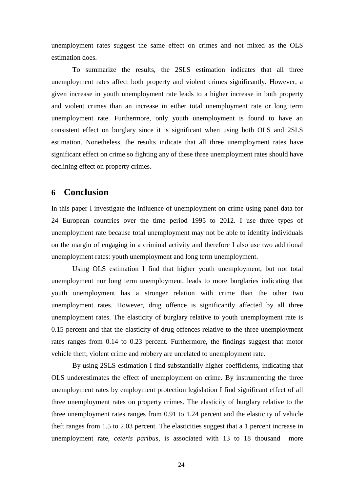unemployment rates suggest the same effect on crimes and not mixed as the OLS estimation does.

To summarize the results, the 2SLS estimation indicates that all three unemployment rates affect both property and violent crimes significantly. However, a given increase in youth unemployment rate leads to a higher increase in both property and violent crimes than an increase in either total unemployment rate or long term unemployment rate. Furthermore, only youth unemployment is found to have an consistent effect on burglary since it is significant when using both OLS and 2SLS estimation. Nonetheless, the results indicate that all three unemployment rates have significant effect on crime so fighting any of these three unemployment rates should have declining effect on property crimes.

#### **6 Conclusion**

In this paper I investigate the influence of unemployment on crime using panel data for 24 European countries over the time period 1995 to 2012. I use three types of unemployment rate because total unemployment may not be able to identify individuals on the margin of engaging in a criminal activity and therefore I also use two additional unemployment rates: youth unemployment and long term unemployment.

Using OLS estimation I find that higher youth unemployment, but not total unemployment nor long term unemployment, leads to more burglaries indicating that youth unemployment has a stronger relation with crime than the other two unemployment rates. However, drug offence is significantly affected by all three unemployment rates. The elasticity of burglary relative to youth unemployment rate is 0.15 percent and that the elasticity of drug offences relative to the three unemployment rates ranges from 0.14 to 0.23 percent. Furthermore, the findings suggest that motor vehicle theft, violent crime and robbery are unrelated to unemployment rate.

By using 2SLS estimation I find substantially higher coefficients, indicating that OLS underestimates the effect of unemployment on crime. By instrumenting the three unemployment rates by employment protection legislation I find significant effect of all three unemployment rates on property crimes. The elasticity of burglary relative to the three unemployment rates ranges from 0.91 to 1.24 percent and the elasticity of vehicle theft ranges from 1.5 to 2.03 percent. The elasticities suggest that a 1 percent increase in unemployment rate, *ceteris paribus*, is associated with 13 to 18 thousand more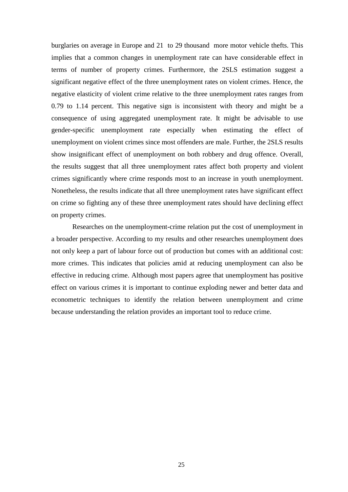burglaries on average in Europe and 21 to 29 thousand more motor vehicle thefts. This implies that a common changes in unemployment rate can have considerable effect in terms of number of property crimes. Furthermore, the 2SLS estimation suggest a significant negative effect of the three unemployment rates on violent crimes. Hence, the negative elasticity of violent crime relative to the three unemployment rates ranges from 0.79 to 1.14 percent. This negative sign is inconsistent with theory and might be a consequence of using aggregated unemployment rate. It might be advisable to use gender-specific unemployment rate especially when estimating the effect of unemployment on violent crimes since most offenders are male. Further, the 2SLS results show insignificant effect of unemployment on both robbery and drug offence. Overall, the results suggest that all three unemployment rates affect both property and violent crimes significantly where crime responds most to an increase in youth unemployment. Nonetheless, the results indicate that all three unemployment rates have significant effect on crime so fighting any of these three unemployment rates should have declining effect on property crimes.

Researches on the unemployment-crime relation put the cost of unemployment in a broader perspective. According to my results and other researches unemployment does not only keep a part of labour force out of production but comes with an additional cost: more crimes. This indicates that policies amid at reducing unemployment can also be effective in reducing crime. Although most papers agree that unemployment has positive effect on various crimes it is important to continue exploding newer and better data and econometric techniques to identify the relation between unemployment and crime because understanding the relation provides an important tool to reduce crime.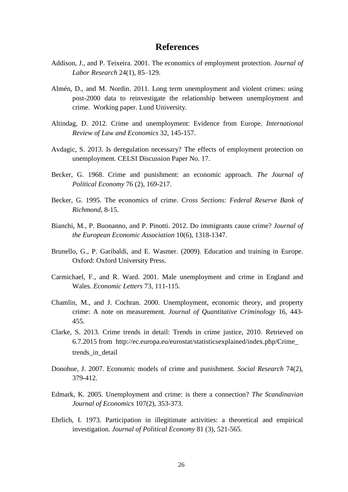#### **References**

- <span id="page-26-0"></span>Addison, J., and P. Teixeira. 2001. The economics of employment protection. *Journal of Labor Research* 24(1), 85–129.
- Almén, D., and M. Nordin. 2011. Long term unemployment and violent crimes: using post-2000 data to reinvestigate the relationship between unemployment and crime. Working paper. Lund University.
- Altindag, D. 2012. Crime and unemployment: Evidence from Europe*. International Review of Law and Economics* 32, 145-157.
- Avdagic, S. 2013. Is deregulation necessary? The effects of employment protection on unemployment. CELSI Discussion Paper No. 17.
- Becker, G. 1968. Crime and punishment: an economic approach. *The Journal of Political Economy* 76 (2), 169-217.
- Becker, G. 1995. The economics of crime. *Cross Sections: Federal Reserve Bank of Richmond*, 8-15.
- Bianchi, M., P. Buonanno, and P. Pinotti. 2012. Do immigrants cause crime? *Journal of the European Economic Association* 10(6), 1318-1347.
- Brunello, G., P. Garibaldi, and E. Wasmer. (2009). Education and training in Europe. Oxford: Oxford University Press.
- Carmichael, F., and R. Ward. 2001. Male unemployment and crime in England and Wales. *Economic Letters* 73, 111-115.
- Chamlin, M., and J. Cochran. 2000. Unemployment, economic theory, and property crime: A note on measurement. *Journal of Quantitative Criminology* 16, 443- 455.
- Clarke, S. 2013. Crime trends in detail: Trends in crime justice, 2010. Retrieved on 6.7.2015 from http://ec.europa.eu/eurostat/statisticsexplained/index.php/Crime\_ trends in detail
- Donohue, J. 2007. Economic models of crime and punishment. *Social Research* 74(2), 379-412.
- Edmark, K. 2005. Unemployment and crime: is there a connection? *The Scandinavian Journal of Economics* 107(2), 353-373.
- Ehrlich, I. 1973. Participation in illegitimate activities: a theoretical and empirical investigation. *Journal of Political Economy* 81 (3), 521-565.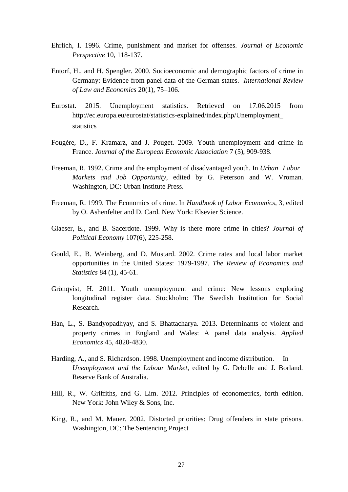- Ehrlich, I. 1996. Crime, punishment and market for offenses. *Journal of Economic Perspective* 10, 118-137.
- Entorf, H., and H. Spengler. 2000. Socioeconomic and demographic factors of crime in Germany: Evidence from panel data of the German states. *International Review of Law and Economics* 20(1), 75–106.
- Eurostat. 2015. Unemployment statistics. Retrieved on 17.06.2015 from http://ec.europa.eu/eurostat/statistics-explained/index.php/Unemployment\_ statistics
- Fougère, D., F. Kramarz, and J. Pouget. 2009. Youth unemployment and crime in France. *Journal of the European Economic Association* 7 (5), 909-938.
- Freeman, R. 1992. Crime and the employment of disadvantaged youth. In *Urban Labor Markets and Job Opportunity*, edited by G. Peterson and W. Vroman. Washington, DC: Urban Institute Press.
- Freeman, R. 1999. The Economics of crime. In *Handbook of Labor Economics*, 3, edited by O. Ashenfelter and D. Card. New York: Elsevier Science.
- Glaeser, E., and B. Sacerdote. 1999. Why is there more crime in cities? *Journal of Political Economy* 107(6), 225-258.
- Gould, E., B. Weinberg, and D. Mustard. 2002. Crime rates and local labor market opportunities in the United States: 1979-1997. *The Review of Economics and Statistics* 84 (1), 45-61.
- Grönqvist, H. 2011. Youth unemployment and crime: New lessons exploring longitudinal register data. Stockholm: The Swedish Institution for Social Research.
- Han, L., S. Bandyopadhyay, and S. Bhattacharya. 2013. Determinants of violent and property crimes in England and Wales: A panel data analysis. *Applied Economics* 45, 4820-4830.
- Harding, A., and S. Richardson. 1998. Unemployment and income distribution. In *Unemployment and the Labour Market*, edited by G. Debelle and J. Borland. Reserve Bank of Australia.
- Hill, R., W. Griffiths, and G. Lim. 2012. Principles of econometrics, forth edition. New York: John Wiley & Sons, Inc.
- King, R., and M. Mauer. 2002. Distorted priorities: Drug offenders in state prisons. Washington, DC: The Sentencing Project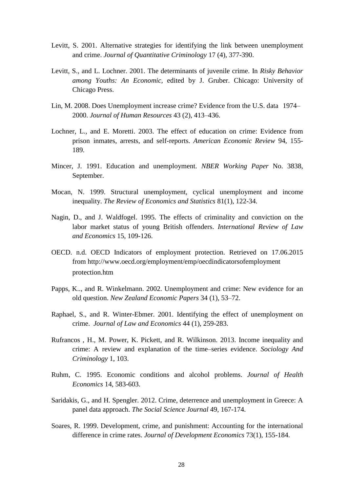- Levitt, S. 2001. Alternative strategies for identifying the link between unemployment and crime. *Journal of Quantitative Criminology* 17 (4), 377-390.
- Levitt, S., and L. Lochner. 2001. The determinants of juvenile crime. In *Risky Behavior among Youths: An Economic,* edited by J. Gruber. Chicago: University of Chicago Press.
- Lin, M. 2008. Does Unemployment increase crime? Evidence from the U.S. data 1974– 2000. *Journal of Human Resources* 43 (2), 413–436.
- Lochner, L., and E. Moretti. 2003. The effect of education on crime: Evidence from prison inmates, arrests, and self-reports. *American Economic Review* 94, 155- 189.
- Mincer, J. 1991. Education and unemployment. *NBER Working Paper* No. 3838, September.
- Mocan, N. 1999. Structural unemployment, cyclical unemployment and income inequality. *The Review of Economics and Statistics* 81(1), 122-34.
- Nagin, D., and J. Waldfogel. 1995. The effects of criminality and conviction on the labor market status of young British offenders. *International Review of Law and Economics* 15, 109-126.
- OECD. n.d. OECD Indicators of employment protection. Retrieved on 17.06.2015 from http://www.oecd.org/employment/emp/oecdindicatorsofemployment protection.htm
- Papps, K.., and R. Winkelmann. 2002. Unemployment and crime: New evidence for an old question. *New Zealand Economic Papers* 34 (1), 53–72.
- Raphael, S., and R. Winter-Ebmer. 2001. Identifying the effect of unemployment on crime. *Journal of Law and Economics* 44 (1), 259-283.
- Rufrancos , H., M. Power, K. Pickett, and R. Wilkinson. 2013. Income inequality and crime: A review and explanation of the time–series evidence. *Sociology And Criminology* 1, 103.
- Ruhm, C. 1995. Economic conditions and alcohol problems. *Journal of Health Economics* 14, 583-603.
- Saridakis, G., and H. Spengler. 2012. Crime, deterrence and unemployment in Greece: A panel data approach. *The Social Science Journal* 49, 167-174.
- Soares, R. 1999. Development, crime, and punishment: Accounting for the international difference in crime rates. *Journal of Development Economics* 73(1), 155-184.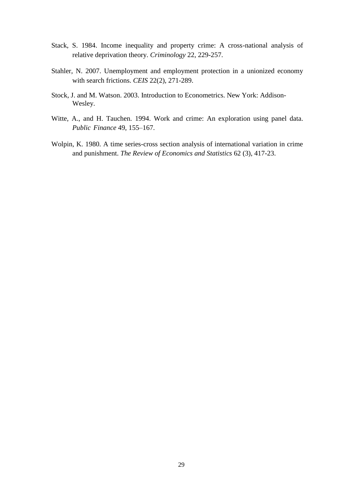- Stack, S. 1984. Income inequality and property crime: A cross-national analysis of relative deprivation theory. *Criminology* 22, 229-257.
- Stahler, N. 2007. Unemployment and employment protection in a unionized economy with search frictions. *CEIS* 22(2), 271-289.
- Stock, J. and M. Watson. 2003. Introduction to Econometrics. New York: Addison-Wesley.
- Witte, A., and H. Tauchen. 1994. Work and crime: An exploration using panel data. *Public Finance* 49, 155–167.
- Wolpin, K. 1980. A time series-cross section analysis of international variation in crime and punishment. *The Review of Economics and Statistics* 62 (3), 417-23.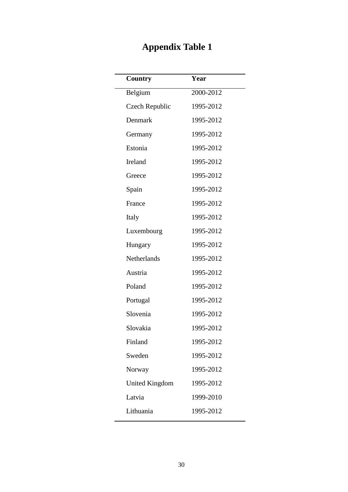# **Appendix Table 1**

<span id="page-30-0"></span>

| Country               | Year      |
|-----------------------|-----------|
| Belgium               | 2000-2012 |
| Czech Republic        | 1995-2012 |
| Denmark               | 1995-2012 |
| Germany               | 1995-2012 |
| Estonia               | 1995-2012 |
| Ireland               | 1995-2012 |
| Greece                | 1995-2012 |
| Spain                 | 1995-2012 |
| France                | 1995-2012 |
| Italy                 | 1995-2012 |
| Luxembourg            | 1995-2012 |
| Hungary               | 1995-2012 |
| Netherlands           | 1995-2012 |
| Austria               | 1995-2012 |
| Poland                | 1995-2012 |
| Portugal              | 1995-2012 |
| Slovenia              | 1995-2012 |
| Slovakia              | 1995-2012 |
| Finland               | 1995-2012 |
| Sweden                | 1995-2012 |
| Norway                | 1995-2012 |
| <b>United Kingdom</b> | 1995-2012 |
| Latvia                | 1999-2010 |
| Lithuania             | 1995-2012 |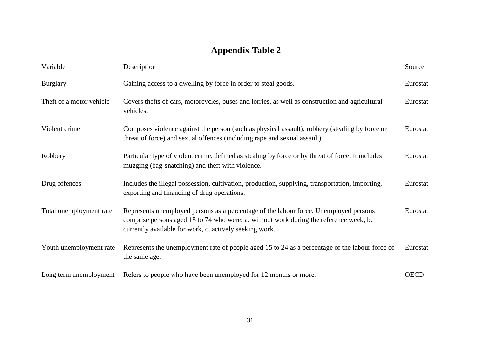| Variable                 | Description                                                                                                                                                                                                                                | Source      |
|--------------------------|--------------------------------------------------------------------------------------------------------------------------------------------------------------------------------------------------------------------------------------------|-------------|
| <b>Burglary</b>          | Gaining access to a dwelling by force in order to steal goods.                                                                                                                                                                             | Eurostat    |
| Theft of a motor vehicle | Covers thefts of cars, motorcycles, buses and lorries, as well as construction and agricultural<br>vehicles.                                                                                                                               | Eurostat    |
| Violent crime            | Composes violence against the person (such as physical assault), robbery (stealing by force or<br>threat of force) and sexual offences (including rape and sexual assault).                                                                | Eurostat    |
| Robbery                  | Particular type of violent crime, defined as stealing by force or by threat of force. It includes<br>mugging (bag-snatching) and theft with violence.                                                                                      | Eurostat    |
| Drug offences            | Includes the illegal possession, cultivation, production, supplying, transportation, importing,<br>exporting and financing of drug operations.                                                                                             | Eurostat    |
| Total unemployment rate  | Represents unemployed persons as a percentage of the labour force. Unemployed persons<br>comprise persons aged 15 to 74 who were: a. without work during the reference week, b.<br>currently available for work, c. actively seeking work. | Eurostat    |
| Youth unemployment rate  | Represents the unemployment rate of people aged 15 to 24 as a percentage of the labour force of<br>the same age.                                                                                                                           | Eurostat    |
| Long term unemployment   | Refers to people who have been unemployed for 12 months or more.                                                                                                                                                                           | <b>OECD</b> |